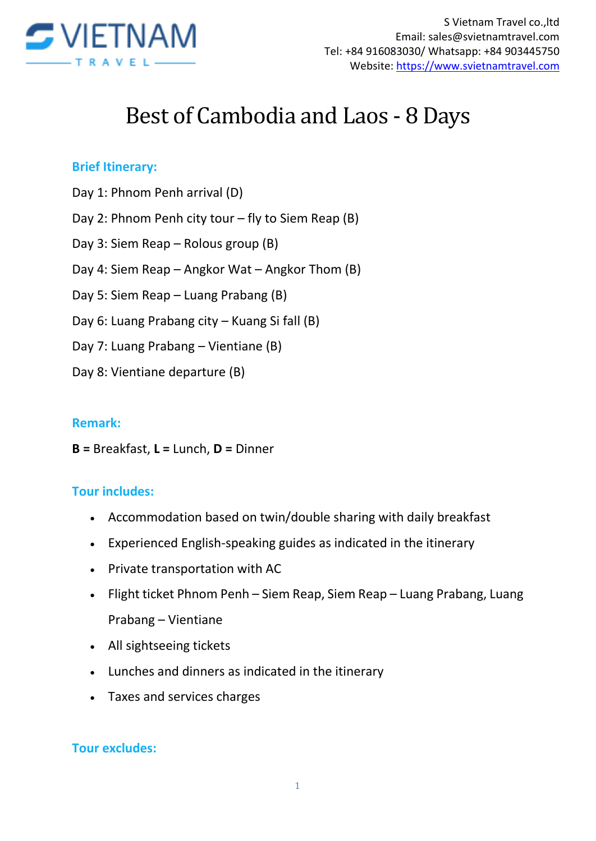

# Best of Cambodia and Laos - 8 Days

#### **Brief Itinerary:**

- Day 1: Phnom Penh arrival (D)
- Day 2: Phnom Penh city tour fly to Siem Reap (B)
- Day 3: Siem Reap Rolous group (B)
- Day 4: Siem Reap Angkor Wat Angkor Thom (B)
- Day 5: Siem Reap Luang Prabang (B)
- Day 6: Luang Prabang city Kuang Si fall (B)
- Day 7: Luang Prabang Vientiane (B)
- Day 8: Vientiane departure (B)

#### **Remark:**

**B =** Breakfast, **L =** Lunch, **D =** Dinner

#### **Tour includes:**

- Accommodation based on twin/double sharing with daily breakfast
- Experienced English-speaking guides as indicated in the itinerary
- Private transportation with AC
- Flight ticket Phnom Penh Siem Reap, Siem Reap Luang Prabang, Luang Prabang – Vientiane
- All sightseeing tickets
- Lunches and dinners as indicated in the itinerary
- Taxes and services charges

#### **Tour excludes:**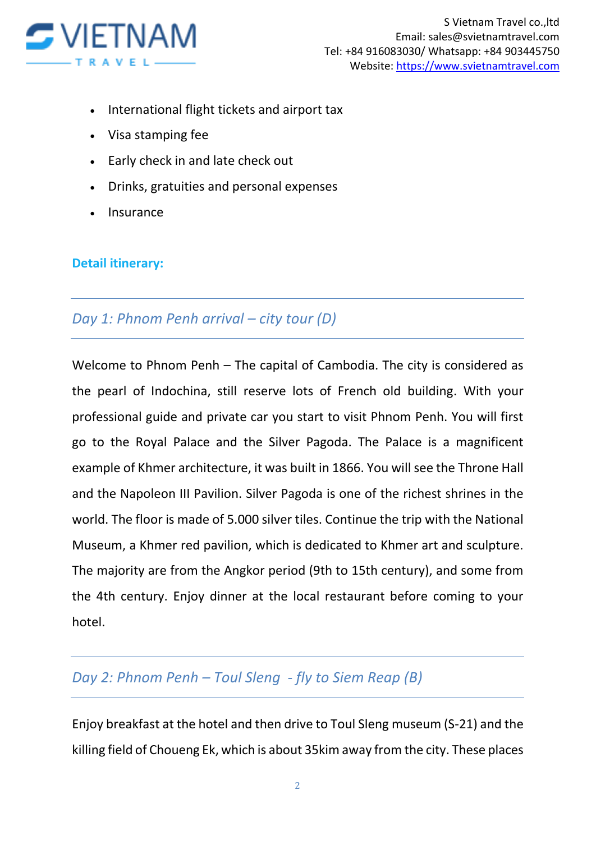

- International flight tickets and airport tax
- Visa stamping fee
- Early check in and late check out
- Drinks, gratuities and personal expenses
- Insurance

#### **Detail itinerary:**

### *Day 1: Phnom Penh arrival – city tour (D)*

Welcome to Phnom Penh – The capital of Cambodia. The city is considered as the pearl of Indochina, still reserve lots of French old building. With your professional guide and private car you start to visit Phnom Penh. You will first go to the Royal Palace and the Silver Pagoda. The Palace is a magnificent example of Khmer architecture, it was built in 1866. You will see the Throne Hall and the Napoleon III Pavilion. Silver Pagoda is one of the richest shrines in the world. The floor is made of 5.000 silver tiles. Continue the trip with the National Museum, a Khmer red pavilion, which is dedicated to Khmer art and sculpture. The majority are from the Angkor period (9th to 15th century), and some from the 4th century. Enjoy dinner at the local restaurant before coming to your hotel.

## *Day 2: Phnom Penh – Toul Sleng - fly to Siem Reap (B)*

Enjoy breakfast at the hotel and then drive to Toul Sleng museum (S-21) and the killing field of Choueng Ek, which is about 35kim away from the city. These places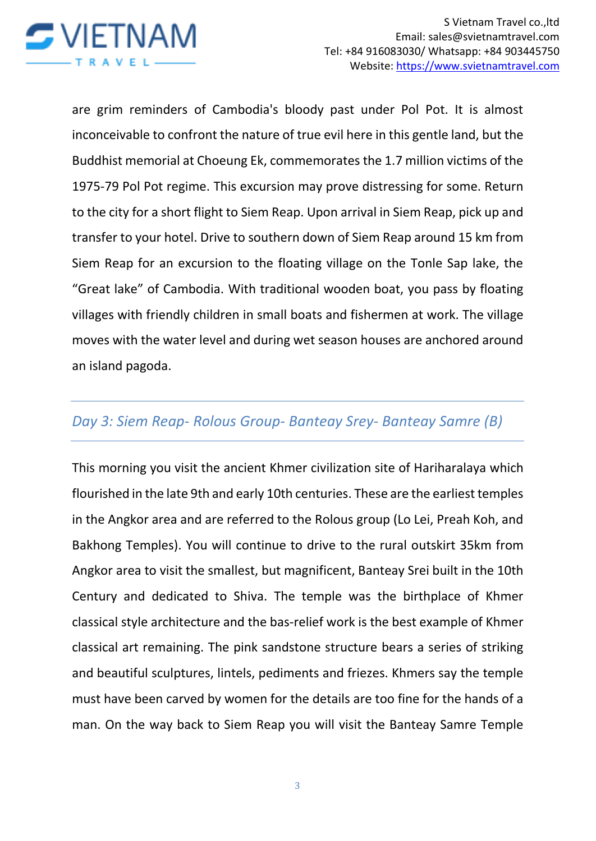

are grim reminders of Cambodia's bloody past under Pol Pot. It is almost inconceivable to confront the nature of true evil here in this gentle land, but the Buddhist memorial at Choeung Ek, commemorates the 1.7 million victims of the 1975-79 Pol Pot regime. This excursion may prove distressing for some. Return to the city for a short flight to Siem Reap. Upon arrival in Siem Reap, pick up and transfer to your hotel. Drive to southern down of Siem Reap around 15 km from Siem Reap for an excursion to the floating village on the Tonle Sap lake, the "Great lake" of Cambodia. With traditional wooden boat, you pass by floating villages with friendly children in small boats and fishermen at work. The village moves with the water level and during wet season houses are anchored around an island pagoda.

## *Day 3: Siem Reap- Rolous Group- Banteay Srey- Banteay Samre (B)*

This morning you visit the ancient Khmer civilization site of Hariharalaya which flourished in the late 9th and early 10th centuries. These are the earliest temples in the Angkor area and are referred to the Rolous group (Lo Lei, Preah Koh, and Bakhong Temples). You will continue to drive to the rural outskirt 35km from Angkor area to visit the smallest, but magnificent, Banteay Srei built in the 10th Century and dedicated to Shiva. The temple was the birthplace of Khmer classical style architecture and the bas-relief work is the best example of Khmer classical art remaining. The pink sandstone structure bears a series of striking and beautiful sculptures, lintels, pediments and friezes. Khmers say the temple must have been carved by women for the details are too fine for the hands of a man. On the way back to Siem Reap you will visit the Banteay Samre Temple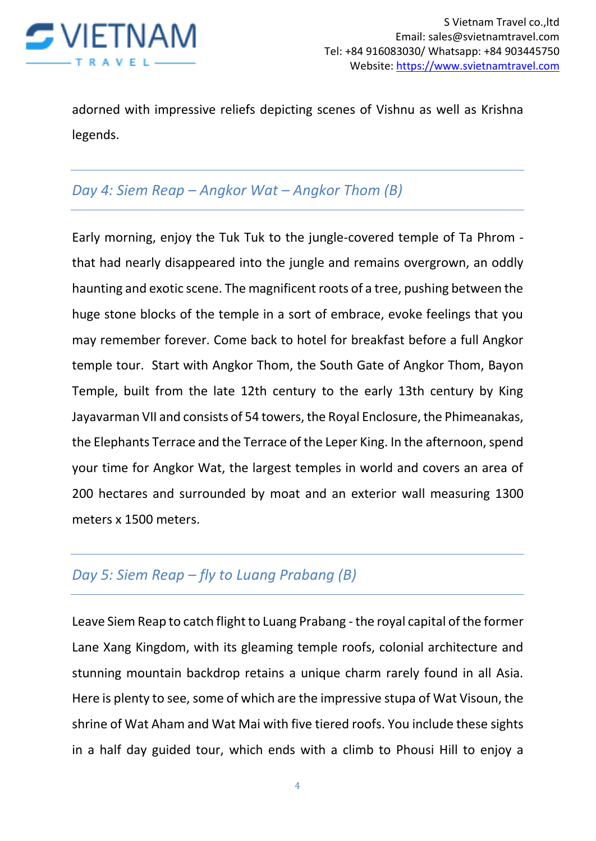

adorned with impressive reliefs depicting scenes of Vishnu as well as Krishna legends.

# *Day 4: Siem Reap – Angkor Wat – Angkor Thom (B)*

Early morning, enjoy the Tuk Tuk to the jungle-covered temple of Ta Phrom that had nearly disappeared into the jungle and remains overgrown, an oddly haunting and exotic scene. The magnificent roots of a tree, pushing between the huge stone blocks of the temple in a sort of embrace, evoke feelings that you may remember forever. Come back to hotel for breakfast before a full Angkor temple tour. Start with Angkor Thom, the South Gate of Angkor Thom, Bayon Temple, built from the late 12th century to the early 13th century by King Jayavarman VII and consists of 54 towers, the Royal Enclosure, the Phimeanakas, the Elephants Terrace and the Terrace of the Leper King. In the afternoon, spend your time for Angkor Wat, the largest temples in world and covers an area of 200 hectares and surrounded by moat and an exterior wall measuring 1300 meters x 1500 meters.

# *Day 5: Siem Reap – fly to Luang Prabang (B)*

Leave Siem Reap to catch flight to Luang Prabang - the royal capital of the former Lane Xang Kingdom, with its gleaming temple roofs, colonial architecture and stunning mountain backdrop retains a unique charm rarely found in all Asia. Here is plenty to see, some of which are the impressive stupa of Wat Visoun, the shrine of Wat Aham and Wat Mai with five tiered roofs. You include these sights in a half day guided tour, which ends with a climb to Phousi Hill to enjoy a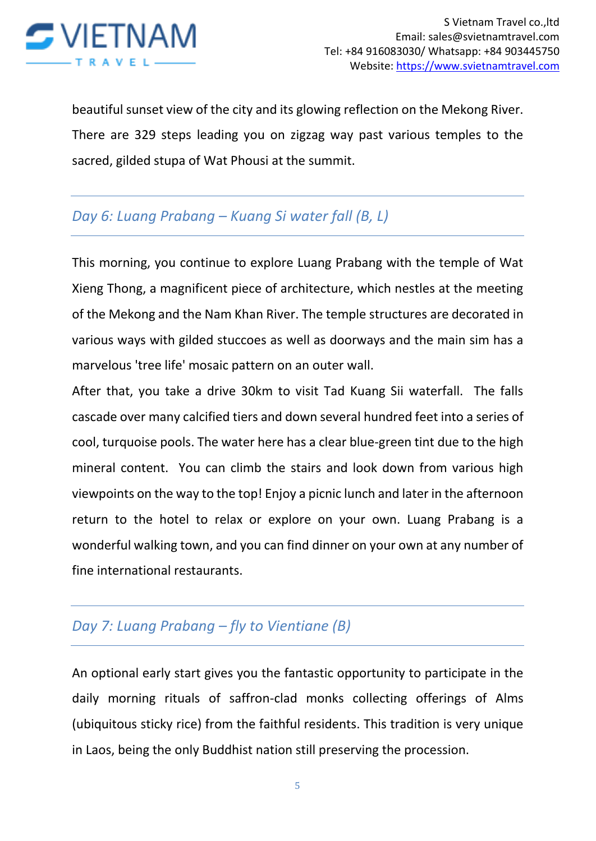

beautiful sunset view of the city and its glowing reflection on the Mekong River. There are 329 steps leading you on zigzag way past various temples to the sacred, gilded stupa of Wat Phousi at the summit.

# *Day 6: Luang Prabang – Kuang Si water fall (B, L)*

This morning, you continue to explore Luang Prabang with the temple of Wat Xieng Thong, a magnificent piece of architecture, which nestles at the meeting of the Mekong and the Nam Khan River. The temple structures are decorated in various ways with gilded stuccoes as well as doorways and the main sim has a marvelous 'tree life' mosaic pattern on an outer wall.

After that, you take a drive 30km to visit Tad Kuang Sii waterfall. The falls cascade over many calcified tiers and down several hundred feet into a series of cool, turquoise pools. The water here has a clear blue-green tint due to the high mineral content. You can climb the stairs and look down from various high viewpoints on the way to the top! Enjoy a picnic lunch and later in the afternoon return to the hotel to relax or explore on your own. Luang Prabang is a wonderful walking town, and you can find dinner on your own at any number of fine international restaurants.

## *Day 7: Luang Prabang – fly to Vientiane (B)*

An optional early start gives you the fantastic opportunity to participate in the daily morning rituals of saffron-clad monks collecting offerings of Alms (ubiquitous sticky rice) from the faithful residents. This tradition is very unique in Laos, being the only Buddhist nation still preserving the procession.